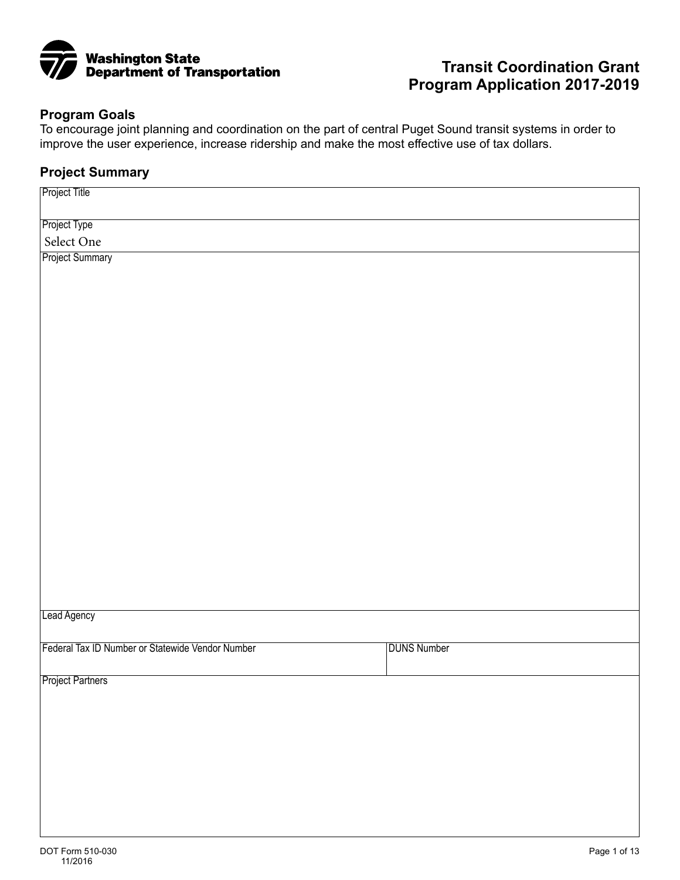

# **Transit Coordination Grant Program Application 2017-2019**

### **Program Goals**

To encourage joint planning and coordination on the part of central Puget Sound transit systems in order to improve the user experience, increase ridership and make the most effective use of tax dollars.

## **Project Summary**

| Project Title                                    |                    |
|--------------------------------------------------|--------------------|
| Project Type                                     |                    |
| Select One                                       |                    |
| <b>Project Summary</b>                           |                    |
|                                                  |                    |
|                                                  |                    |
|                                                  |                    |
|                                                  |                    |
|                                                  |                    |
|                                                  |                    |
|                                                  |                    |
|                                                  |                    |
|                                                  |                    |
|                                                  |                    |
|                                                  |                    |
|                                                  |                    |
|                                                  |                    |
|                                                  |                    |
|                                                  |                    |
|                                                  |                    |
|                                                  |                    |
|                                                  |                    |
|                                                  |                    |
|                                                  |                    |
| Lead Agency                                      |                    |
|                                                  |                    |
| Federal Tax ID Number or Statewide Vendor Number | <b>DUNS Number</b> |
| <b>Project Partners</b>                          |                    |
|                                                  |                    |
|                                                  |                    |
|                                                  |                    |
|                                                  |                    |
|                                                  |                    |
|                                                  |                    |
|                                                  |                    |
|                                                  |                    |
|                                                  |                    |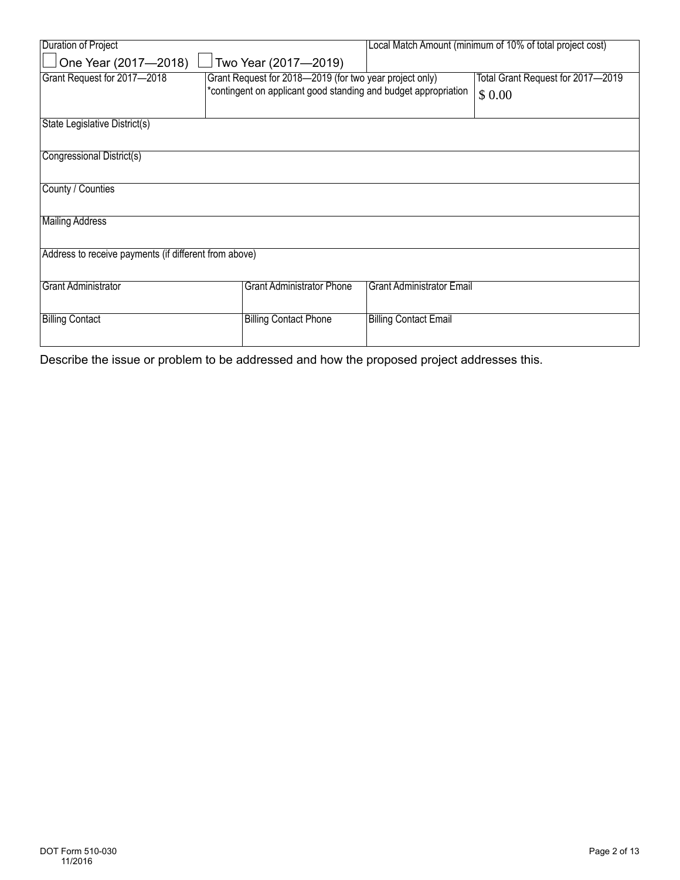| Duration of Project                                   |                                                         | Local Match Amount (minimum of 10% of total project cost)       |                                   |  |  |  |
|-------------------------------------------------------|---------------------------------------------------------|-----------------------------------------------------------------|-----------------------------------|--|--|--|
| One Year (2017-2018)                                  | Two Year (2017-2019)                                    |                                                                 |                                   |  |  |  |
| Grant Request for 2017-2018                           | Grant Request for 2018-2019 (for two year project only) |                                                                 | Total Grant Request for 2017-2019 |  |  |  |
|                                                       |                                                         | *contingent on applicant good standing and budget appropriation |                                   |  |  |  |
|                                                       |                                                         |                                                                 |                                   |  |  |  |
| State Legislative District(s)                         |                                                         |                                                                 |                                   |  |  |  |
|                                                       |                                                         |                                                                 |                                   |  |  |  |
| Congressional District(s)                             |                                                         |                                                                 |                                   |  |  |  |
| County / Counties                                     |                                                         |                                                                 |                                   |  |  |  |
|                                                       |                                                         |                                                                 |                                   |  |  |  |
| <b>Mailing Address</b>                                |                                                         |                                                                 |                                   |  |  |  |
|                                                       |                                                         |                                                                 |                                   |  |  |  |
| Address to receive payments (if different from above) |                                                         |                                                                 |                                   |  |  |  |
|                                                       |                                                         |                                                                 |                                   |  |  |  |
| <b>Grant Administrator</b>                            | <b>Grant Administrator Phone</b>                        | <b>Grant Administrator Email</b>                                |                                   |  |  |  |
|                                                       |                                                         |                                                                 |                                   |  |  |  |
| <b>Billing Contact</b>                                | <b>Billing Contact Phone</b>                            | <b>Billing Contact Email</b>                                    |                                   |  |  |  |
|                                                       |                                                         |                                                                 |                                   |  |  |  |

Describe the issue or problem to be addressed and how the proposed project addresses this.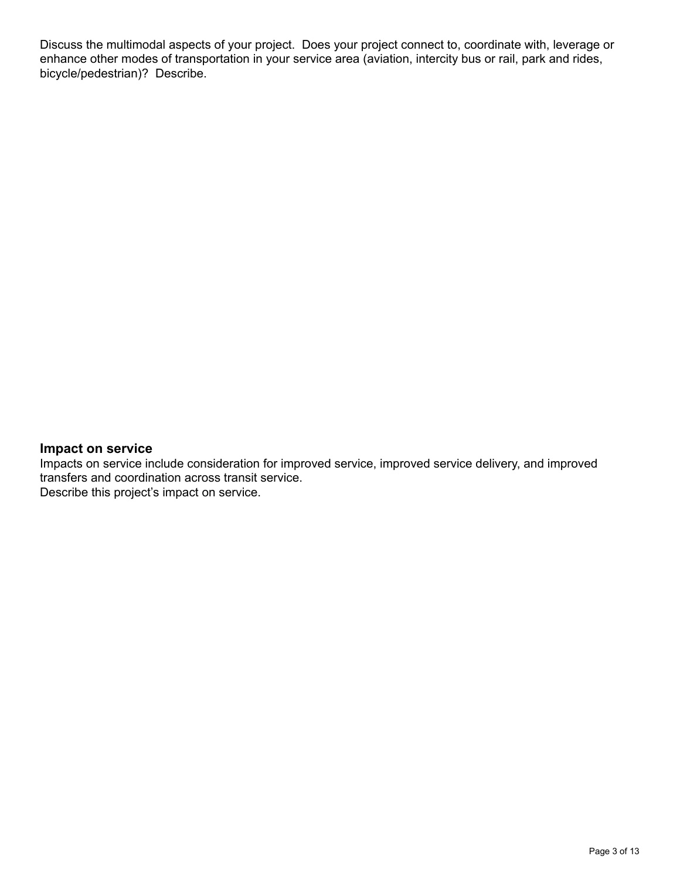Discuss the multimodal aspects of your project. Does your project connect to, coordinate with, leverage or enhance other modes of transportation in your service area (aviation, intercity bus or rail, park and rides, bicycle/pedestrian)? Describe.

### **Impact on service**

Impacts on service include consideration for improved service, improved service delivery, and improved transfers and coordination across transit service. Describe this project's impact on service.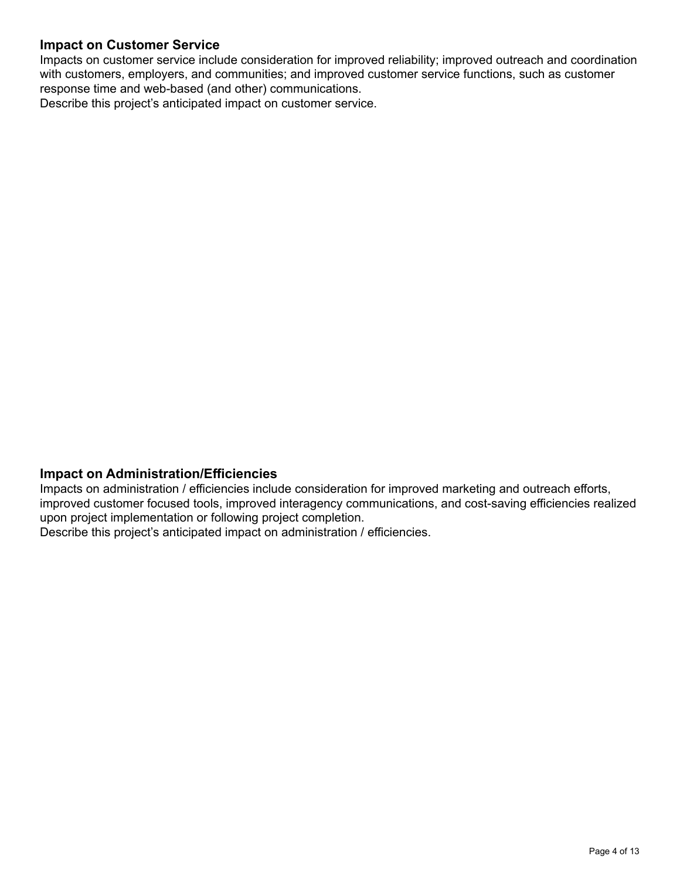# **Impact on Customer Service**

Impacts on customer service include consideration for improved reliability; improved outreach and coordination with customers, employers, and communities; and improved customer service functions, such as customer response time and web-based (and other) communications.

Describe this project's anticipated impact on customer service.

#### **Impact on Administration/Efficiencies**

Impacts on administration / efficiencies include consideration for improved marketing and outreach efforts, improved customer focused tools, improved interagency communications, and cost-saving efficiencies realized upon project implementation or following project completion.

Describe this project's anticipated impact on administration / efficiencies.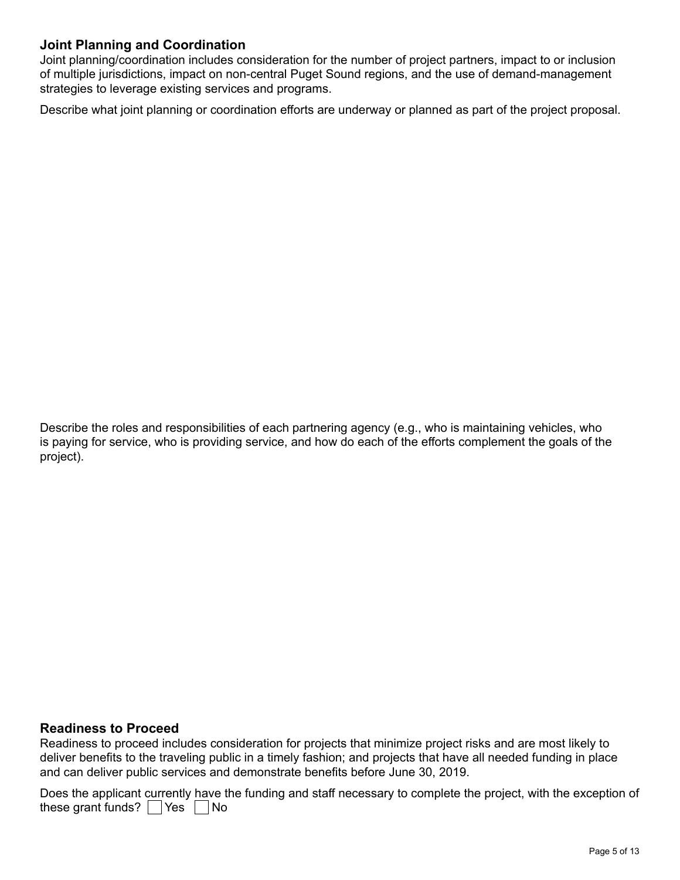## **Joint Planning and Coordination**

Joint planning/coordination includes consideration for the number of project partners, impact to or inclusion of multiple jurisdictions, impact on non-central Puget Sound regions, and the use of demand-management strategies to leverage existing services and programs.

Describe what joint planning or coordination efforts are underway or planned as part of the project proposal.

Describe the roles and responsibilities of each partnering agency (e.g., who is maintaining vehicles, who is paying for service, who is providing service, and how do each of the efforts complement the goals of the project).

#### **Readiness to Proceed**

Readiness to proceed includes consideration for projects that minimize project risks and are most likely to deliver benefits to the traveling public in a timely fashion; and projects that have all needed funding in place and can deliver public services and demonstrate benefits before June 30, 2019.

these grant funds?  $\bigsqcup$  Yes  $\bigsqcup$  No Does the applicant currently have the funding and staff necessary to complete the project, with the exception of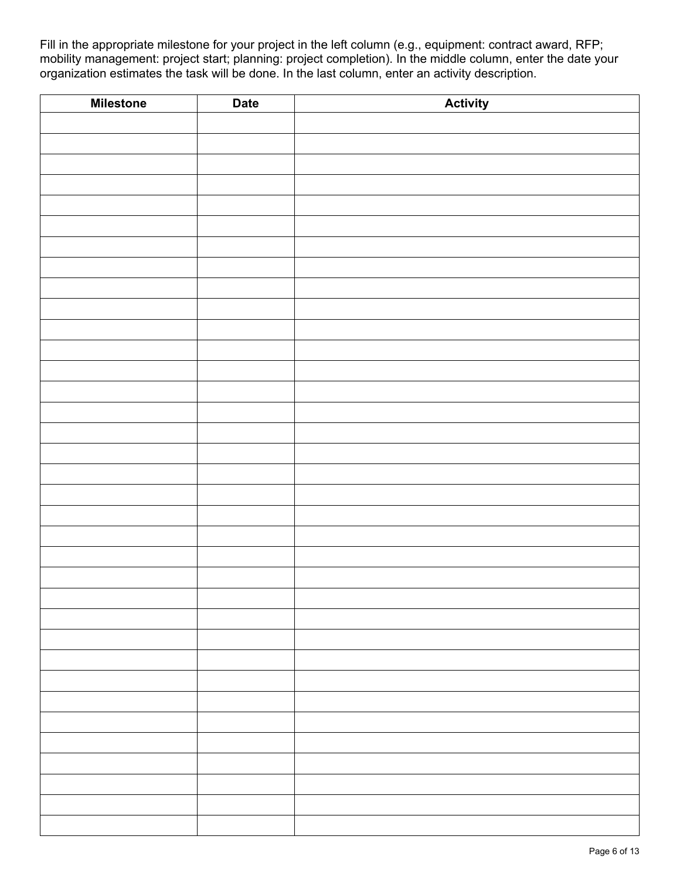Fill in the appropriate milestone for your project in the left column (e.g., equipment: contract award, RFP; mobility management: project start; planning: project completion). In the middle column, enter the date your organization estimates the task will be done. In the last column, enter an activity description.

| <b>Milestone</b> | <b>Date</b> | <b>Activity</b> |
|------------------|-------------|-----------------|
|                  |             |                 |
|                  |             |                 |
|                  |             |                 |
|                  |             |                 |
|                  |             |                 |
|                  |             |                 |
|                  |             |                 |
|                  |             |                 |
|                  |             |                 |
|                  |             |                 |
|                  |             |                 |
|                  |             |                 |
|                  |             |                 |
|                  |             |                 |
|                  |             |                 |
|                  |             |                 |
|                  |             |                 |
|                  |             |                 |
|                  |             |                 |
|                  |             |                 |
|                  |             |                 |
|                  |             |                 |
|                  |             |                 |
|                  |             |                 |
|                  |             |                 |
|                  |             |                 |
|                  |             |                 |
|                  |             |                 |
|                  |             |                 |
|                  |             |                 |
|                  |             |                 |
|                  |             |                 |
|                  |             |                 |
|                  |             |                 |
|                  |             |                 |
|                  |             |                 |
|                  |             |                 |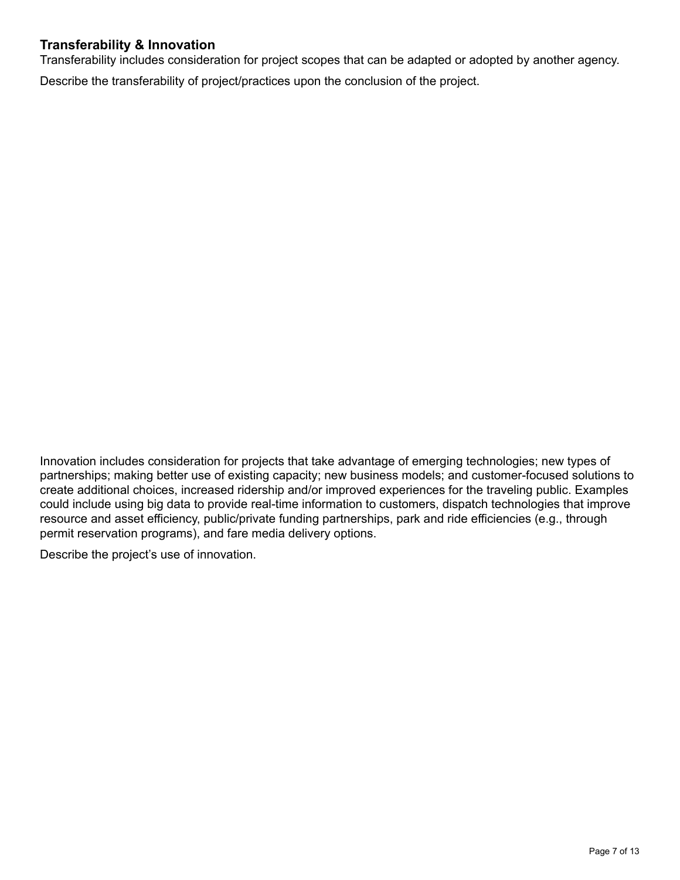# **Transferability & Innovation**

Transferability includes consideration for project scopes that can be adapted or adopted by another agency.

Describe the transferability of project/practices upon the conclusion of the project.

Innovation includes consideration for projects that take advantage of emerging technologies; new types of partnerships; making better use of existing capacity; new business models; and customer-focused solutions to create additional choices, increased ridership and/or improved experiences for the traveling public. Examples could include using big data to provide real-time information to customers, dispatch technologies that improve resource and asset efficiency, public/private funding partnerships, park and ride efficiencies (e.g., through permit reservation programs), and fare media delivery options.

Describe the project's use of innovation.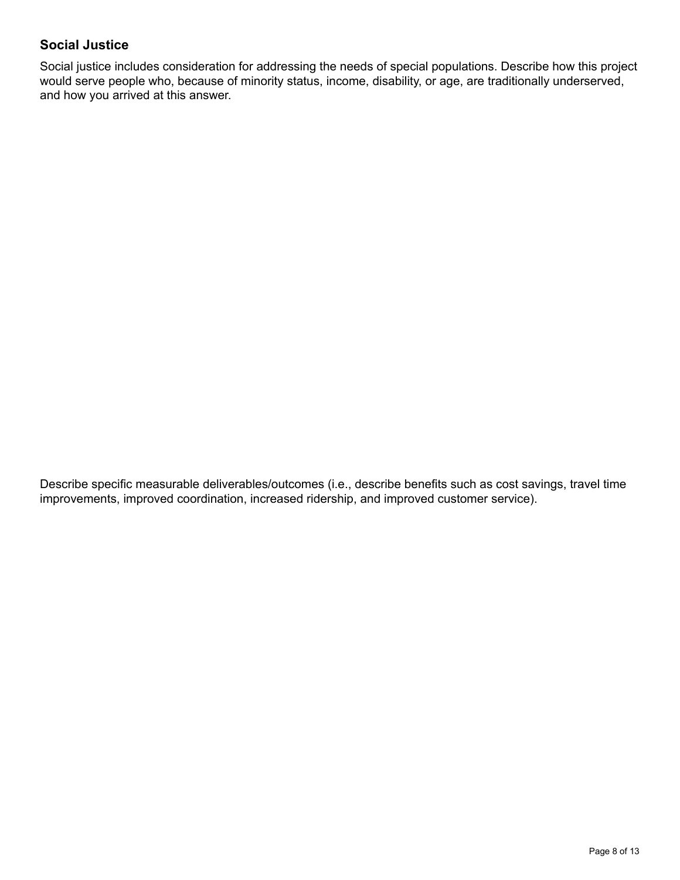# **Social Justice**

Social justice includes consideration for addressing the needs of special populations. Describe how this project would serve people who, because of minority status, income, disability, or age, are traditionally underserved, and how you arrived at this answer.

Describe specific measurable deliverables/outcomes (i.e., describe benefits such as cost savings, travel time improvements, improved coordination, increased ridership, and improved customer service).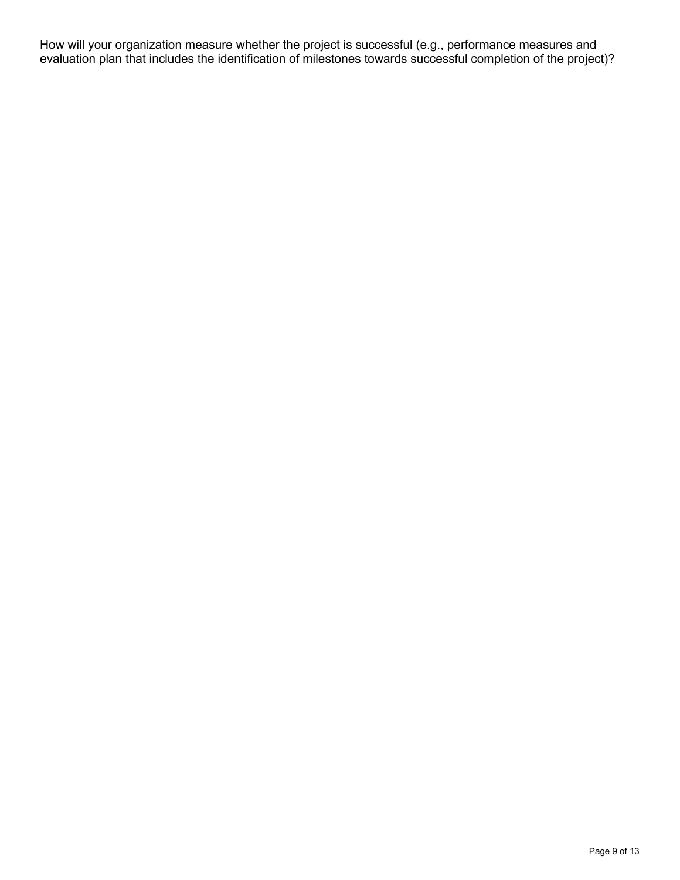How will your organization measure whether the project is successful (e.g., performance measures and evaluation plan that includes the identification of milestones towards successful completion of the project)?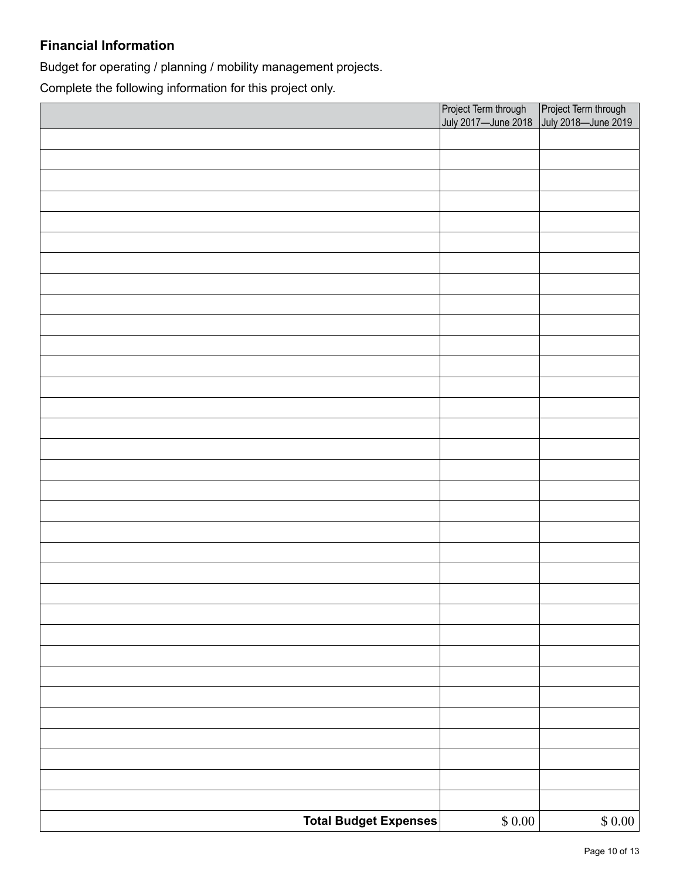# **Financial Information**

Budget for operating / planning / mobility management projects.

Complete the following information for this project only.

|                       |                | Project Term through Project Term through<br>July 2017—June 2018 July 2018—June 2019 |  |
|-----------------------|----------------|--------------------------------------------------------------------------------------|--|
|                       |                |                                                                                      |  |
|                       |                |                                                                                      |  |
|                       |                |                                                                                      |  |
|                       |                |                                                                                      |  |
|                       |                |                                                                                      |  |
|                       |                |                                                                                      |  |
|                       |                |                                                                                      |  |
|                       |                |                                                                                      |  |
|                       |                |                                                                                      |  |
|                       |                |                                                                                      |  |
|                       |                |                                                                                      |  |
|                       |                |                                                                                      |  |
|                       |                |                                                                                      |  |
|                       |                |                                                                                      |  |
|                       |                |                                                                                      |  |
|                       |                |                                                                                      |  |
|                       |                |                                                                                      |  |
|                       |                |                                                                                      |  |
|                       |                |                                                                                      |  |
|                       |                |                                                                                      |  |
|                       |                |                                                                                      |  |
|                       |                |                                                                                      |  |
|                       |                |                                                                                      |  |
|                       |                |                                                                                      |  |
|                       |                |                                                                                      |  |
|                       |                |                                                                                      |  |
|                       |                |                                                                                      |  |
|                       |                |                                                                                      |  |
|                       |                |                                                                                      |  |
|                       |                |                                                                                      |  |
|                       |                |                                                                                      |  |
|                       |                |                                                                                      |  |
|                       |                |                                                                                      |  |
|                       |                |                                                                                      |  |
| Total Budget Expenses | $\$$ 0.00 $\,$ | \$0.00                                                                               |  |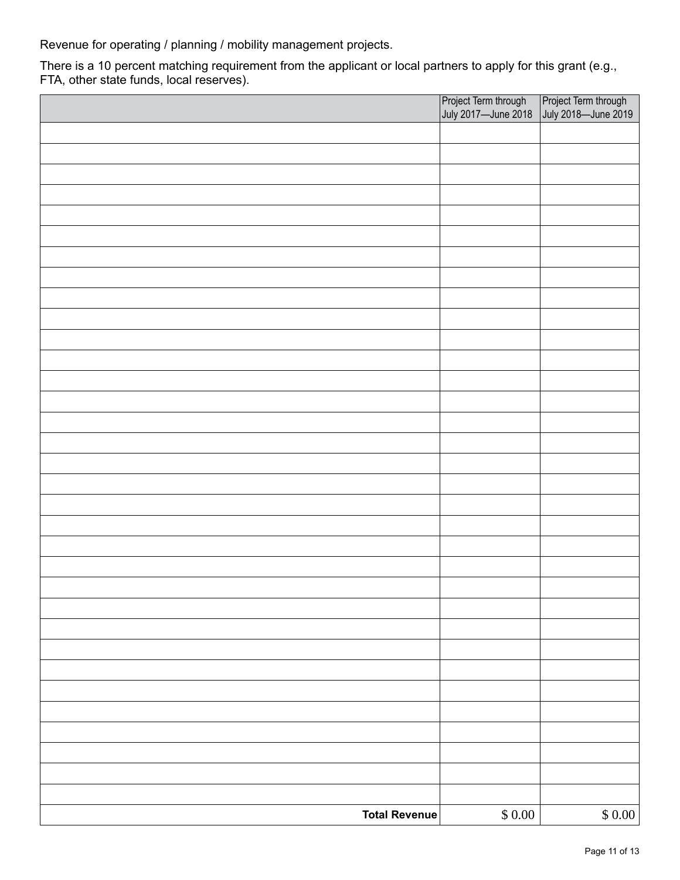Revenue for operating / planning / mobility management projects.

There is a 10 percent matching requirement from the applicant or local partners to apply for this grant (e.g., FTA, other state funds, local reserves).

|                      | Project Term through Project Term through<br>July 2017—June 2018 July 2018—June 2019 |        |
|----------------------|--------------------------------------------------------------------------------------|--------|
|                      |                                                                                      |        |
|                      |                                                                                      |        |
|                      |                                                                                      |        |
|                      |                                                                                      |        |
|                      |                                                                                      |        |
|                      |                                                                                      |        |
|                      |                                                                                      |        |
|                      |                                                                                      |        |
|                      |                                                                                      |        |
|                      |                                                                                      |        |
|                      |                                                                                      |        |
|                      |                                                                                      |        |
|                      |                                                                                      |        |
|                      |                                                                                      |        |
|                      |                                                                                      |        |
|                      |                                                                                      |        |
|                      |                                                                                      |        |
|                      |                                                                                      |        |
|                      |                                                                                      |        |
|                      |                                                                                      |        |
|                      |                                                                                      |        |
|                      |                                                                                      |        |
|                      |                                                                                      |        |
|                      |                                                                                      |        |
|                      |                                                                                      |        |
|                      |                                                                                      |        |
|                      |                                                                                      |        |
|                      |                                                                                      |        |
|                      |                                                                                      |        |
|                      |                                                                                      |        |
|                      |                                                                                      |        |
|                      |                                                                                      |        |
| <b>Total Revenue</b> | $\$$ $0.00$                                                                          | \$0.00 |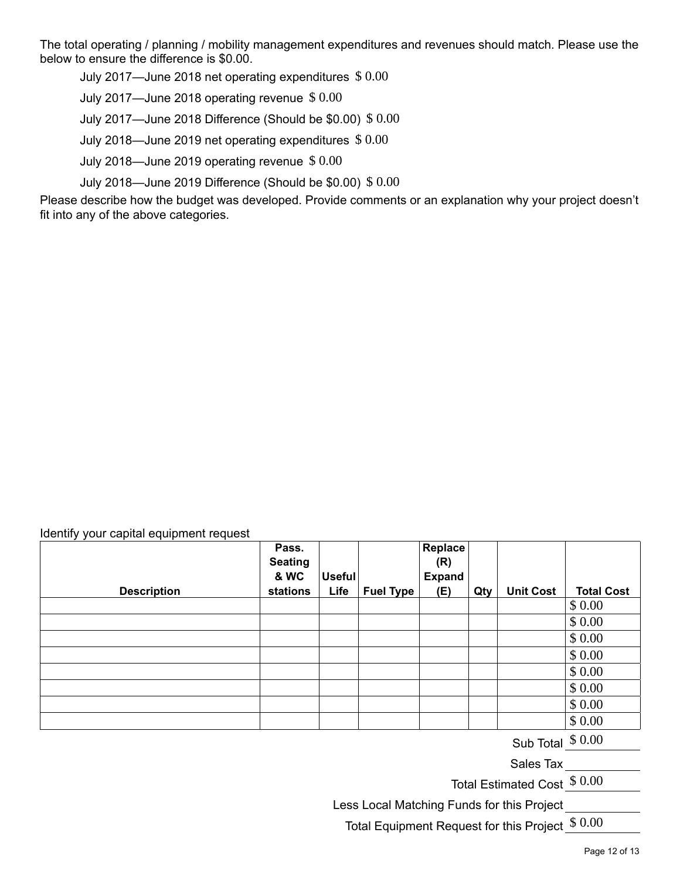The total operating / planning / mobility management expenditures and revenues should match. Please use the below to ensure the difference is \$0.00.

July 2017—June 2018 net operating expenditures  $\$~0.00$ 

July 2017—June 2018 operating revenue  $$0.00$ 

July 2017—June 2018 Difference (Should be  $\$0.00) \ \$\ 0.00$ 

July 2018—June 2019 net operating expenditures  $\$~0.00$ 

July 2018—June 2019 operating revenue  $$0.00$ 

July 2018—June 2019 Difference (Should be  $$0.00) \$ \, 0.00$ 

Please describe how the budget was developed. Provide comments or an explanation why your project doesn't fit into any of the above categories.

#### Identify your capital equipment request

| <b>Description</b> | Pass.<br><b>Seating</b><br>& WC<br>stations | <b>Useful</b><br>Life | <b>Fuel Type</b> | Replace<br>(R)<br><b>Expand</b><br>(E) | Qty | <b>Unit Cost</b> | <b>Total Cost</b> |
|--------------------|---------------------------------------------|-----------------------|------------------|----------------------------------------|-----|------------------|-------------------|
|                    |                                             |                       |                  |                                        |     |                  | \$0.00            |
|                    |                                             |                       |                  |                                        |     |                  | \$0.00            |
|                    |                                             |                       |                  |                                        |     |                  | \$0.00            |
|                    |                                             |                       |                  |                                        |     |                  | \$0.00            |
|                    |                                             |                       |                  |                                        |     |                  | \$0.00            |
|                    |                                             |                       |                  |                                        |     |                  | \$0.00            |
|                    |                                             |                       |                  |                                        |     |                  | \$0.00            |
|                    |                                             |                       |                  |                                        |     |                  | \$0.00            |

Sub Total  $$0.00$ 

Sales Tax

Total Estimated Cost $\frac{\$~0.00}{\ }$ 

Less Local Matching Funds for this Project

Total Equipment Request for this Project $\frac{\$~0.00}{}$